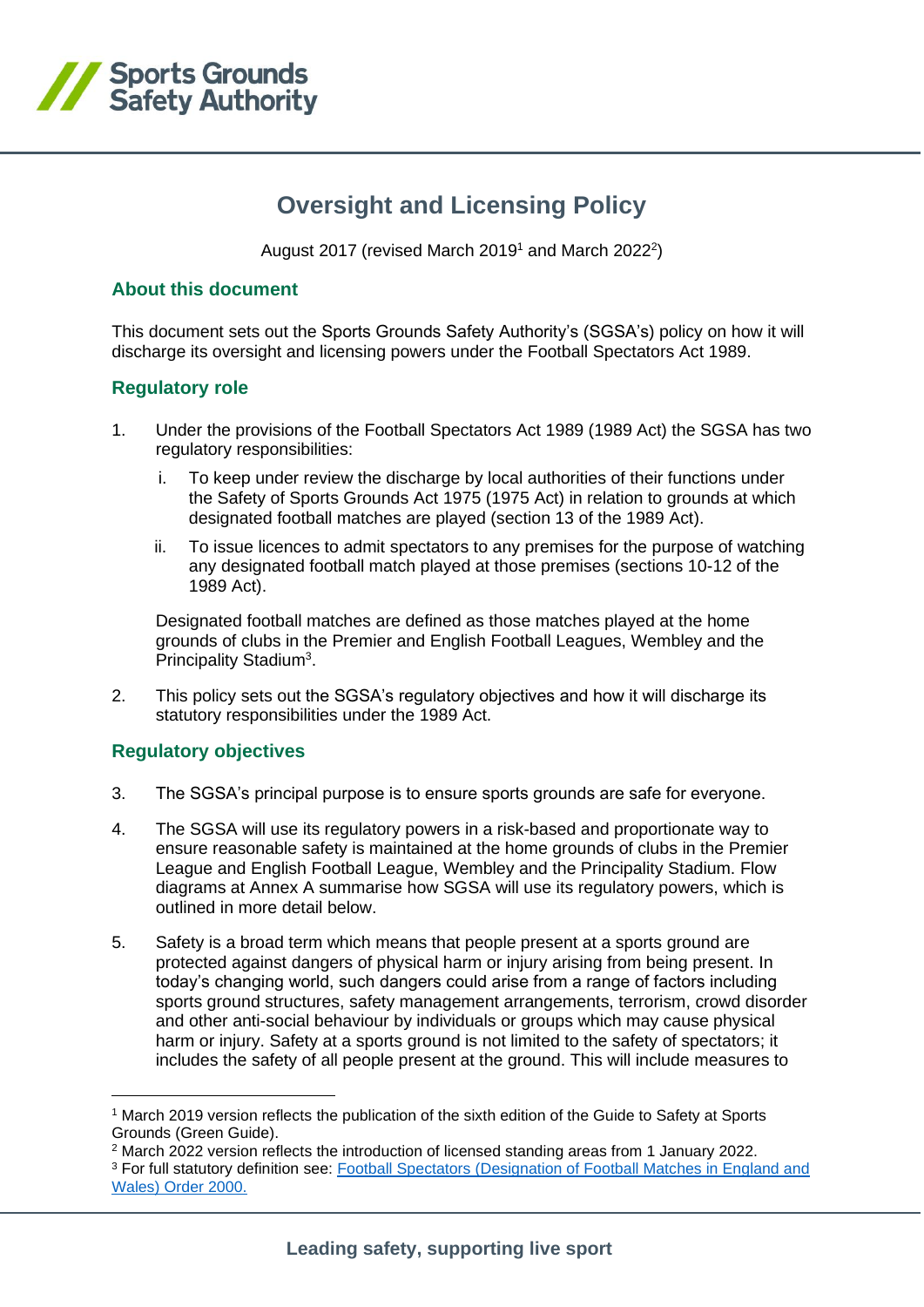

# **Oversight and Licensing Policy**

August 2017 (revised March 2019<sup>1</sup> and March 2022<sup>2</sup>)

### **About this document**

This document sets out the Sports Grounds Safety Authority's (SGSA's) policy on how it will discharge its oversight and licensing powers under the Football Spectators Act 1989.

### **Regulatory role**

- 1. Under the provisions of the Football Spectators Act 1989 (1989 Act) the SGSA has two regulatory responsibilities:
	- i. To keep under review the discharge by local authorities of their functions under the Safety of Sports Grounds Act 1975 (1975 Act) in relation to grounds at which designated football matches are played (section 13 of the 1989 Act).
	- ii. To issue licences to admit spectators to any premises for the purpose of watching any designated football match played at those premises (sections 10-12 of the 1989 Act).

Designated football matches are defined as those matches played at the home grounds of clubs in the Premier and English Football Leagues, Wembley and the Principality Stadium<sup>3</sup>.

2. This policy sets out the SGSA's regulatory objectives and how it will discharge its statutory responsibilities under the 1989 Act.

# **Regulatory objectives**

- 3. The SGSA's principal purpose is to ensure sports grounds are safe for everyone.
- 4. The SGSA will use its regulatory powers in a risk-based and proportionate way to ensure reasonable safety is maintained at the home grounds of clubs in the Premier League and English Football League, Wembley and the Principality Stadium. Flow diagrams at Annex A summarise how SGSA will use its regulatory powers, which is outlined in more detail below.
- 5. Safety is a broad term which means that people present at a sports ground are protected against dangers of physical harm or injury arising from being present. In today's changing world, such dangers could arise from a range of factors including sports ground structures, safety management arrangements, terrorism, crowd disorder and other anti-social behaviour by individuals or groups which may cause physical harm or injury. Safety at a sports ground is not limited to the safety of spectators; it includes the safety of all people present at the ground. This will include measures to

- <sup>2</sup> March 2022 version reflects the introduction of licensed standing areas from 1 January 2022.
- <sup>3</sup> For full statutory definition see: [Football Spectators \(Designation of Football Matches in England and](https://www.legislation.gov.uk/uksi/2000/3331/made/data.html)  [Wales\) Order](https://www.legislation.gov.uk/uksi/2000/3331/made/data.html) 2000.

<sup>&</sup>lt;sup>1</sup> March 2019 version reflects the publication of the sixth edition of the Guide to Safety at Sports Grounds (Green Guide).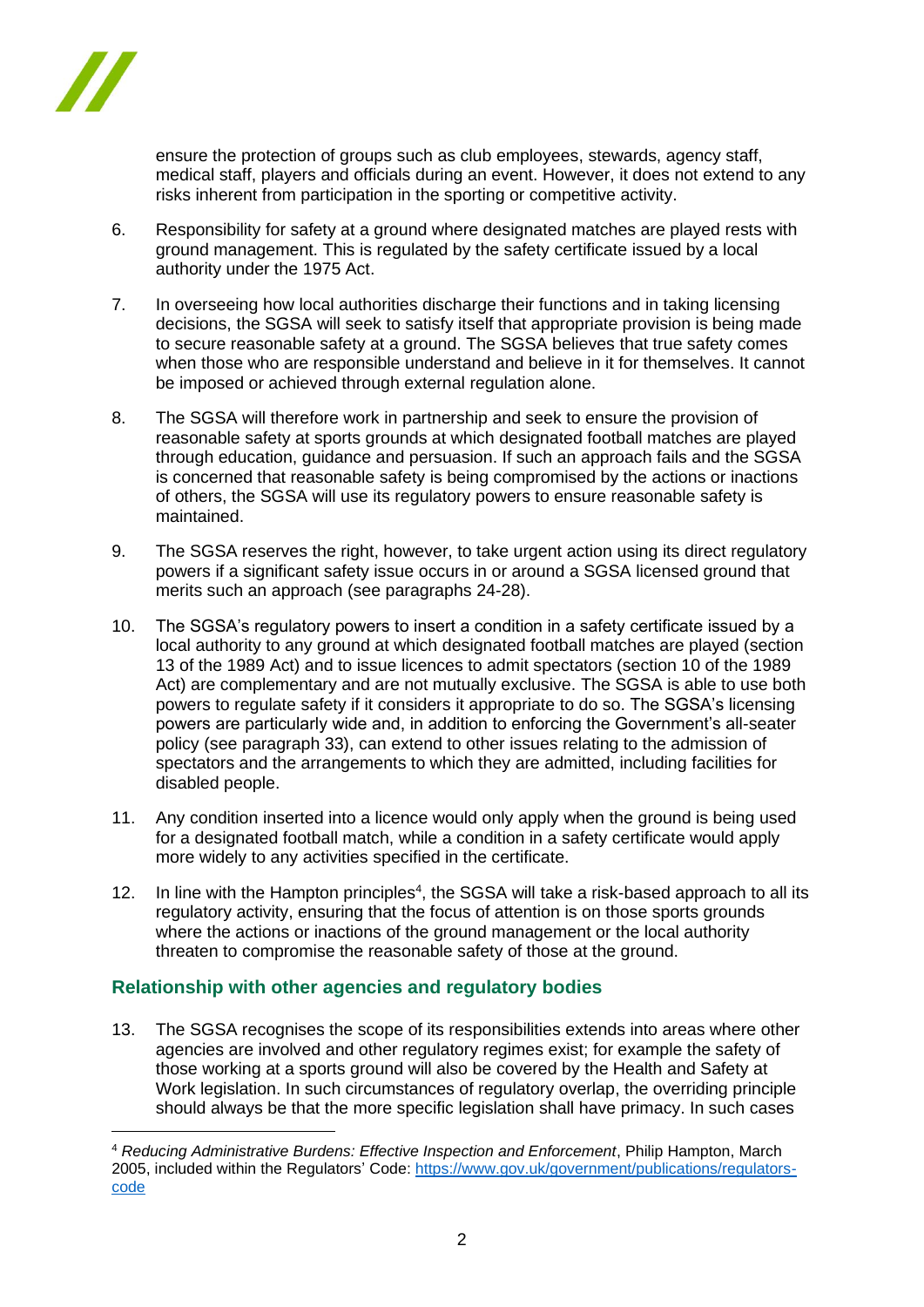

ensure the protection of groups such as club employees, stewards, agency staff, medical staff, players and officials during an event. However, it does not extend to any risks inherent from participation in the sporting or competitive activity.

- 6. Responsibility for safety at a ground where designated matches are played rests with ground management. This is regulated by the safety certificate issued by a local authority under the 1975 Act.
- 7. In overseeing how local authorities discharge their functions and in taking licensing decisions, the SGSA will seek to satisfy itself that appropriate provision is being made to secure reasonable safety at a ground. The SGSA believes that true safety comes when those who are responsible understand and believe in it for themselves. It cannot be imposed or achieved through external regulation alone.
- 8. The SGSA will therefore work in partnership and seek to ensure the provision of reasonable safety at sports grounds at which designated football matches are played through education, guidance and persuasion. If such an approach fails and the SGSA is concerned that reasonable safety is being compromised by the actions or inactions of others, the SGSA will use its regulatory powers to ensure reasonable safety is maintained.
- 9. The SGSA reserves the right, however, to take urgent action using its direct regulatory powers if a significant safety issue occurs in or around a SGSA licensed ground that merits such an approach (see paragraphs 24-28).
- 10. The SGSA's regulatory powers to insert a condition in a safety certificate issued by a local authority to any ground at which designated football matches are played (section 13 of the 1989 Act) and to issue licences to admit spectators (section 10 of the 1989 Act) are complementary and are not mutually exclusive. The SGSA is able to use both powers to regulate safety if it considers it appropriate to do so. The SGSA's licensing powers are particularly wide and, in addition to enforcing the Government's all-seater policy (see paragraph 33), can extend to other issues relating to the admission of spectators and the arrangements to which they are admitted, including facilities for disabled people.
- 11. Any condition inserted into a licence would only apply when the ground is being used for a designated football match, while a condition in a safety certificate would apply more widely to any activities specified in the certificate.
- 12. In line with the Hampton principles<sup>4</sup>, the SGSA will take a risk-based approach to all its regulatory activity, ensuring that the focus of attention is on those sports grounds where the actions or inactions of the ground management or the local authority threaten to compromise the reasonable safety of those at the ground.

# **Relationship with other agencies and regulatory bodies**

13. The SGSA recognises the scope of its responsibilities extends into areas where other agencies are involved and other regulatory regimes exist; for example the safety of those working at a sports ground will also be covered by the Health and Safety at Work legislation. In such circumstances of regulatory overlap, the overriding principle should always be that the more specific legislation shall have primacy. In such cases

<sup>4</sup> *Reducing Administrative Burdens: Effective Inspection and Enforcement*, Philip Hampton, March 2005, included within the Regulators' Code: [https://www.gov.uk/government/publications/regulators](https://www.gov.uk/government/publications/regulators-code)[code](https://www.gov.uk/government/publications/regulators-code)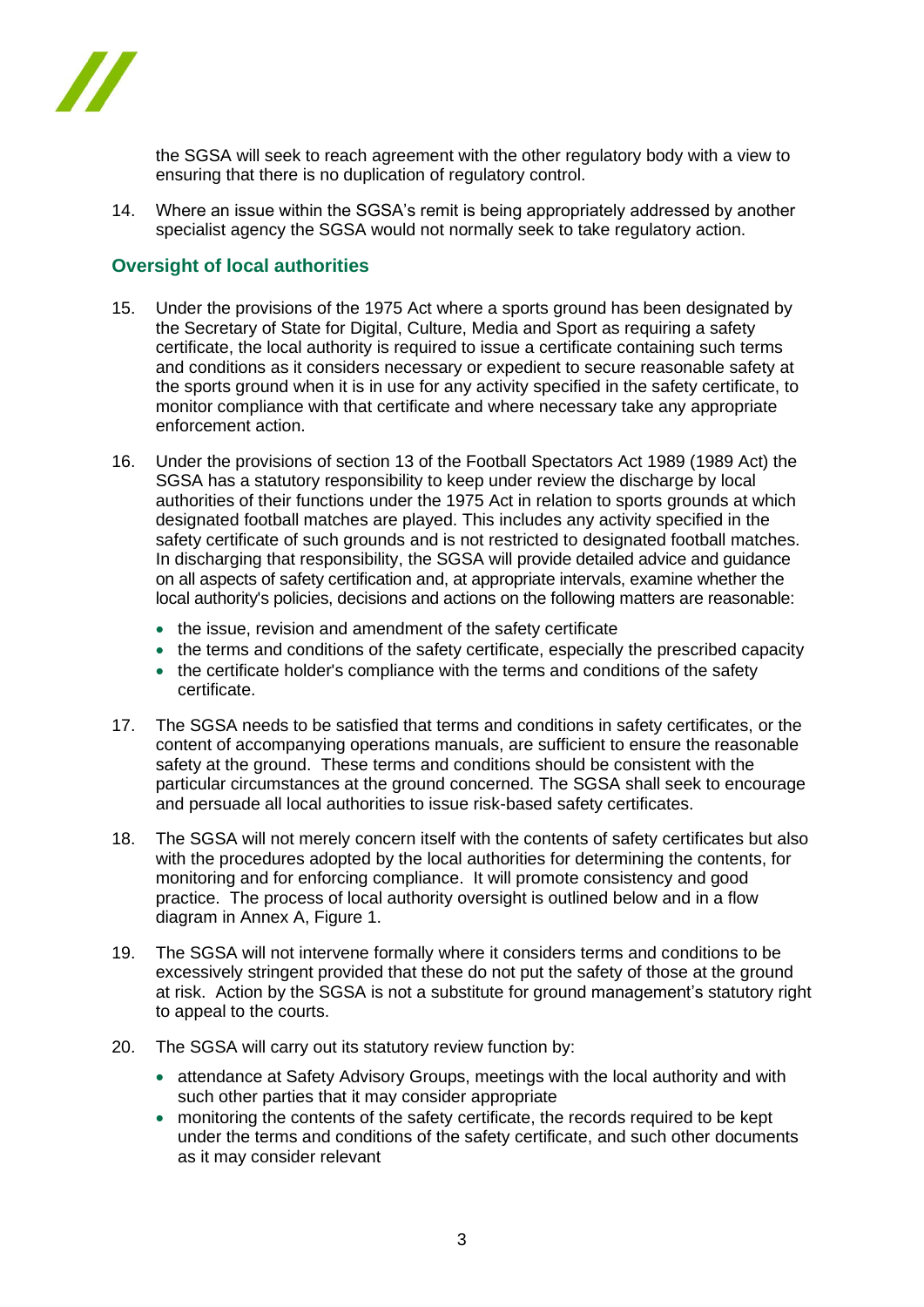

the SGSA will seek to reach agreement with the other regulatory body with a view to ensuring that there is no duplication of regulatory control.

14. Where an issue within the SGSA's remit is being appropriately addressed by another specialist agency the SGSA would not normally seek to take regulatory action.

### **Oversight of local authorities**

- 15. Under the provisions of the 1975 Act where a sports ground has been designated by the Secretary of State for Digital, Culture, Media and Sport as requiring a safety certificate, the local authority is required to issue a certificate containing such terms and conditions as it considers necessary or expedient to secure reasonable safety at the sports ground when it is in use for any activity specified in the safety certificate, to monitor compliance with that certificate and where necessary take any appropriate enforcement action.
- 16. Under the provisions of section 13 of the Football Spectators Act 1989 (1989 Act) the SGSA has a statutory responsibility to keep under review the discharge by local authorities of their functions under the 1975 Act in relation to sports grounds at which designated football matches are played. This includes any activity specified in the safety certificate of such grounds and is not restricted to designated football matches. In discharging that responsibility, the SGSA will provide detailed advice and guidance on all aspects of safety certification and, at appropriate intervals, examine whether the local authority's policies, decisions and actions on the following matters are reasonable:
	- the issue, revision and amendment of the safety certificate
	- the terms and conditions of the safety certificate, especially the prescribed capacity
	- the certificate holder's compliance with the terms and conditions of the safety certificate.
- 17. The SGSA needs to be satisfied that terms and conditions in safety certificates, or the content of accompanying operations manuals, are sufficient to ensure the reasonable safety at the ground. These terms and conditions should be consistent with the particular circumstances at the ground concerned. The SGSA shall seek to encourage and persuade all local authorities to issue risk-based safety certificates.
- 18. The SGSA will not merely concern itself with the contents of safety certificates but also with the procedures adopted by the local authorities for determining the contents, for monitoring and for enforcing compliance. It will promote consistency and good practice. The process of local authority oversight is outlined below and in a flow diagram in Annex A, Figure 1.
- 19. The SGSA will not intervene formally where it considers terms and conditions to be excessively stringent provided that these do not put the safety of those at the ground at risk. Action by the SGSA is not a substitute for ground management's statutory right to appeal to the courts.
- 20. The SGSA will carry out its statutory review function by:
	- attendance at Safety Advisory Groups, meetings with the local authority and with such other parties that it may consider appropriate
	- monitoring the contents of the safety certificate, the records required to be kept under the terms and conditions of the safety certificate, and such other documents as it may consider relevant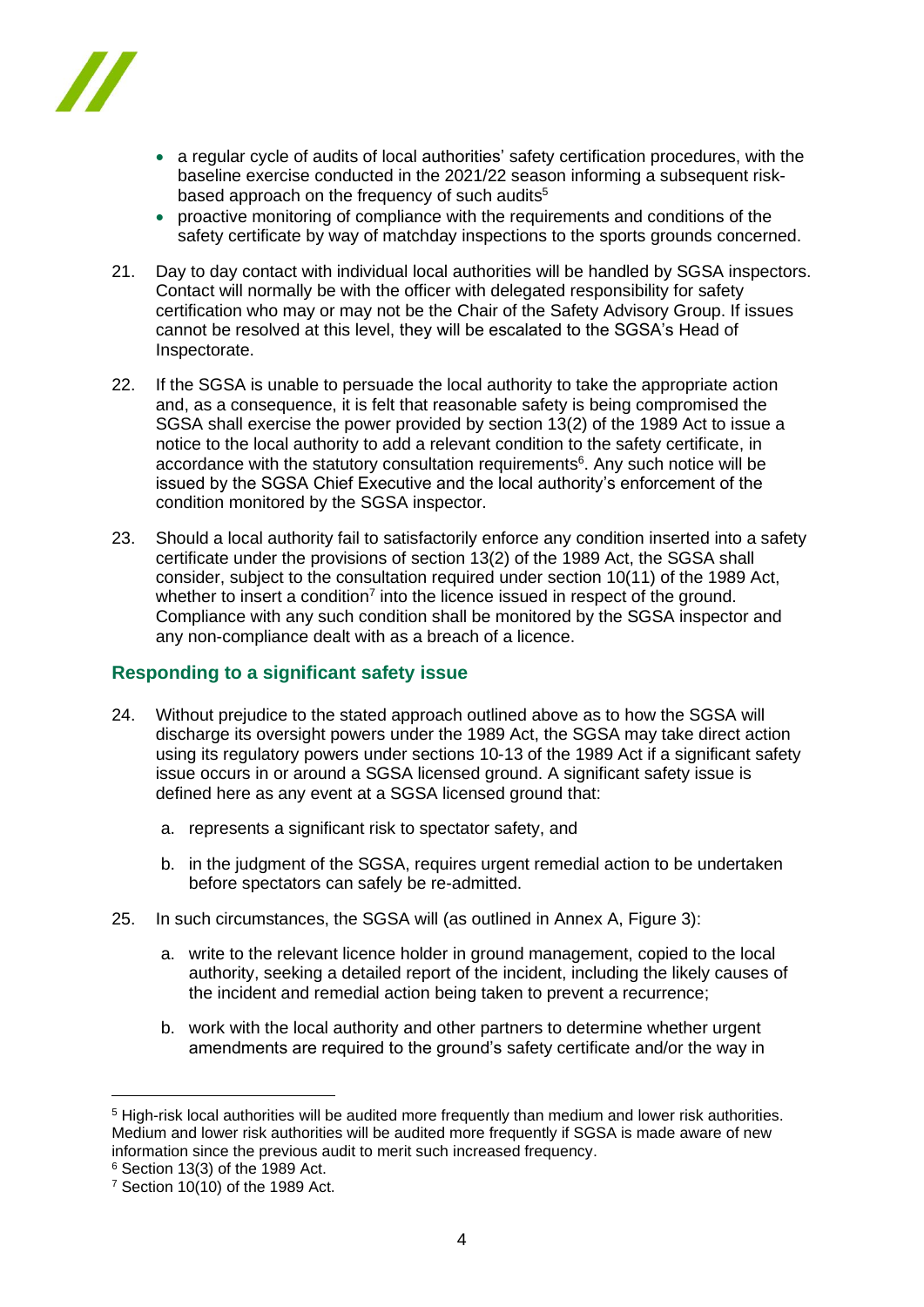

- a regular cycle of audits of local authorities' safety certification procedures, with the baseline exercise conducted in the 2021/22 season informing a subsequent riskbased approach on the frequency of such audits<sup>5</sup>
- proactive monitoring of compliance with the requirements and conditions of the safety certificate by way of matchday inspections to the sports grounds concerned.
- 21. Day to day contact with individual local authorities will be handled by SGSA inspectors. Contact will normally be with the officer with delegated responsibility for safety certification who may or may not be the Chair of the Safety Advisory Group. If issues cannot be resolved at this level, they will be escalated to the SGSA's Head of Inspectorate.
- 22. If the SGSA is unable to persuade the local authority to take the appropriate action and, as a consequence, it is felt that reasonable safety is being compromised the SGSA shall exercise the power provided by section 13(2) of the 1989 Act to issue a notice to the local authority to add a relevant condition to the safety certificate, in accordance with the statutory consultation requirements<sup>6</sup>. Any such notice will be issued by the SGSA Chief Executive and the local authority's enforcement of the condition monitored by the SGSA inspector.
- 23. Should a local authority fail to satisfactorily enforce any condition inserted into a safety certificate under the provisions of section 13(2) of the 1989 Act, the SGSA shall consider, subject to the consultation required under section 10(11) of the 1989 Act, whether to insert a condition<sup>7</sup> into the licence issued in respect of the ground. Compliance with any such condition shall be monitored by the SGSA inspector and any non-compliance dealt with as a breach of a licence.

# **Responding to a significant safety issue**

- 24. Without prejudice to the stated approach outlined above as to how the SGSA will discharge its oversight powers under the 1989 Act, the SGSA may take direct action using its regulatory powers under sections 10-13 of the 1989 Act if a significant safety issue occurs in or around a SGSA licensed ground. A significant safety issue is defined here as any event at a SGSA licensed ground that:
	- a. represents a significant risk to spectator safety, and
	- b. in the judgment of the SGSA, requires urgent remedial action to be undertaken before spectators can safely be re-admitted.
- 25. In such circumstances, the SGSA will (as outlined in Annex A, Figure 3):
	- a. write to the relevant licence holder in ground management, copied to the local authority, seeking a detailed report of the incident, including the likely causes of the incident and remedial action being taken to prevent a recurrence;
	- b. work with the local authority and other partners to determine whether urgent amendments are required to the ground's safety certificate and/or the way in

<sup>5</sup> High-risk local authorities will be audited more frequently than medium and lower risk authorities. Medium and lower risk authorities will be audited more frequently if SGSA is made aware of new information since the previous audit to merit such increased frequency.

 $6$  Section 13(3) of the 1989 Act.

 $7$  Section 10(10) of the 1989 Act.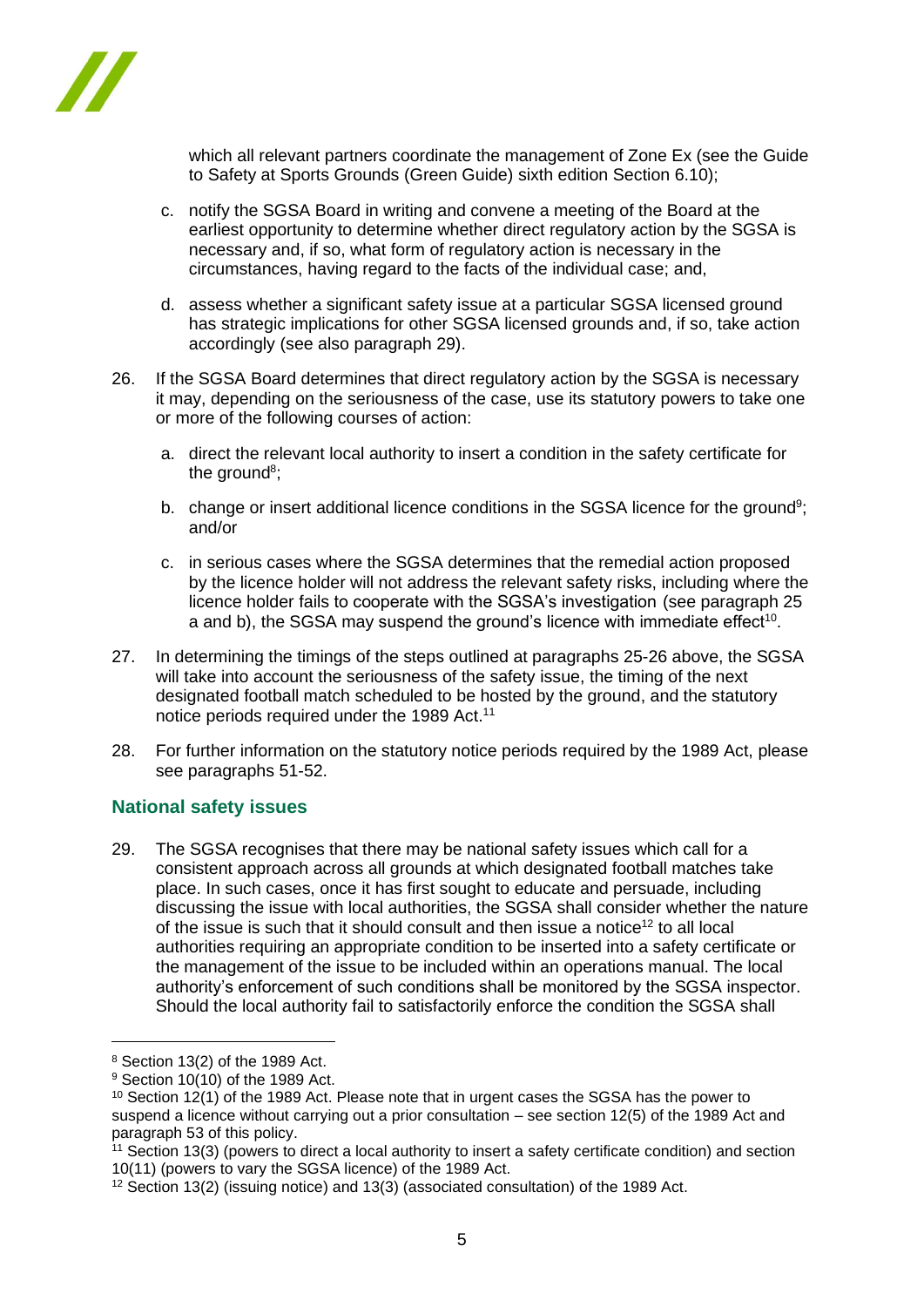

which all relevant partners coordinate the management of Zone Ex (see the Guide to Safety at Sports Grounds (Green Guide) sixth edition Section 6.10);

- c. notify the SGSA Board in writing and convene a meeting of the Board at the earliest opportunity to determine whether direct regulatory action by the SGSA is necessary and, if so, what form of regulatory action is necessary in the circumstances, having regard to the facts of the individual case; and,
- d. assess whether a significant safety issue at a particular SGSA licensed ground has strategic implications for other SGSA licensed grounds and, if so, take action accordingly (see also paragraph 29).
- 26. If the SGSA Board determines that direct regulatory action by the SGSA is necessary it may, depending on the seriousness of the case, use its statutory powers to take one or more of the following courses of action:
	- a. direct the relevant local authority to insert a condition in the safety certificate for the ground<sup>8</sup>;
	- b. change or insert additional licence conditions in the SGSA licence for the ground<sup>9</sup>; and/or
	- c. in serious cases where the SGSA determines that the remedial action proposed by the licence holder will not address the relevant safety risks, including where the licence holder fails to cooperate with the SGSA's investigation (see paragraph 25 a and b), the SGSA may suspend the ground's licence with immediate effect<sup>10</sup>.
- 27. In determining the timings of the steps outlined at paragraphs 25-26 above, the SGSA will take into account the seriousness of the safety issue, the timing of the next designated football match scheduled to be hosted by the ground, and the statutory notice periods required under the 1989 Act.<sup>11</sup>
- 28. For further information on the statutory notice periods required by the 1989 Act, please see paragraphs 51-52.

# **National safety issues**

29. The SGSA recognises that there may be national safety issues which call for a consistent approach across all grounds at which designated football matches take place. In such cases, once it has first sought to educate and persuade, including discussing the issue with local authorities, the SGSA shall consider whether the nature of the issue is such that it should consult and then issue a notice<sup>12</sup> to all local authorities requiring an appropriate condition to be inserted into a safety certificate or the management of the issue to be included within an operations manual. The local authority's enforcement of such conditions shall be monitored by the SGSA inspector. Should the local authority fail to satisfactorily enforce the condition the SGSA shall

<sup>8</sup> Section 13(2) of the 1989 Act.

 $9$  Section 10(10) of the 1989 Act.

<sup>&</sup>lt;sup>10</sup> Section 12(1) of the 1989 Act. Please note that in urgent cases the SGSA has the power to suspend a licence without carrying out a prior consultation – see section 12(5) of the 1989 Act and paragraph 53 of this policy.

<sup>11</sup> Section 13(3) (powers to direct a local authority to insert a safety certificate condition) and section 10(11) (powers to vary the SGSA licence) of the 1989 Act.

<sup>&</sup>lt;sup>12</sup> Section 13(2) (issuing notice) and 13(3) (associated consultation) of the 1989 Act.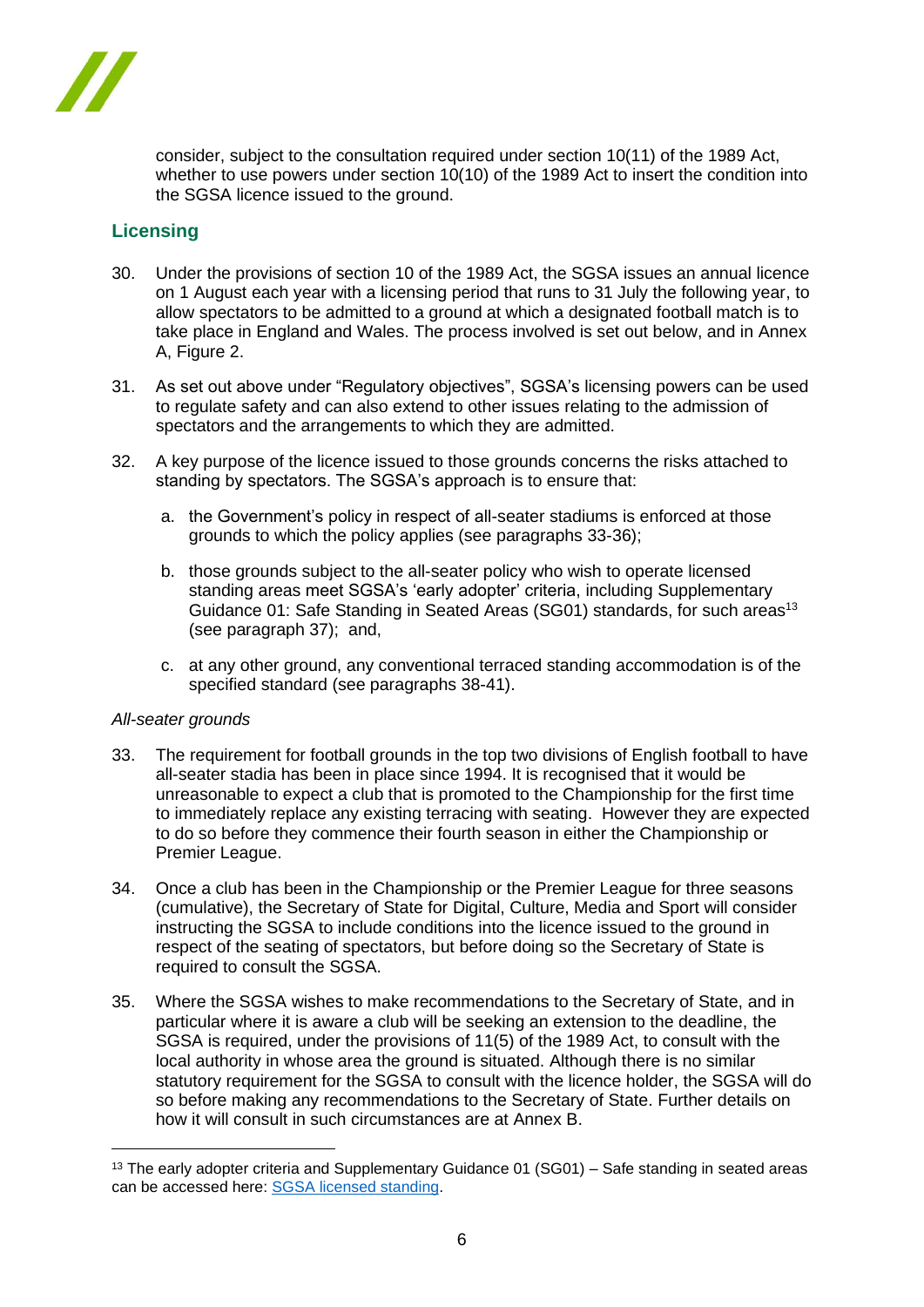

consider, subject to the consultation required under section 10(11) of the 1989 Act, whether to use powers under section 10(10) of the 1989 Act to insert the condition into the SGSA licence issued to the ground.

# **Licensing**

- 30. Under the provisions of section 10 of the 1989 Act, the SGSA issues an annual licence on 1 August each year with a licensing period that runs to 31 July the following year, to allow spectators to be admitted to a ground at which a designated football match is to take place in England and Wales. The process involved is set out below, and in Annex A, Figure 2.
- 31. As set out above under "Regulatory objectives", SGSA's licensing powers can be used to regulate safety and can also extend to other issues relating to the admission of spectators and the arrangements to which they are admitted.
- 32. A key purpose of the licence issued to those grounds concerns the risks attached to standing by spectators. The SGSA's approach is to ensure that:
	- a. the Government's policy in respect of all-seater stadiums is enforced at those grounds to which the policy applies (see paragraphs 33-36);
	- b. those grounds subject to the all-seater policy who wish to operate licensed standing areas meet SGSA's 'early adopter' criteria, including Supplementary Guidance 01: Safe Standing in Seated Areas (SG01) standards, for such areas<sup>13</sup> (see paragraph 37); and,
	- c. at any other ground, any conventional terraced standing accommodation is of the specified standard (see paragraphs 38-41).

### *All-seater grounds*

- 33. The requirement for football grounds in the top two divisions of English football to have all-seater stadia has been in place since 1994. It is recognised that it would be unreasonable to expect a club that is promoted to the Championship for the first time to immediately replace any existing terracing with seating. However they are expected to do so before they commence their fourth season in either the Championship or Premier League.
- 34. Once a club has been in the Championship or the Premier League for three seasons (cumulative), the Secretary of State for Digital, Culture, Media and Sport will consider instructing the SGSA to include conditions into the licence issued to the ground in respect of the seating of spectators, but before doing so the Secretary of State is required to consult the SGSA.
- 35. Where the SGSA wishes to make recommendations to the Secretary of State, and in particular where it is aware a club will be seeking an extension to the deadline, the SGSA is required, under the provisions of 11(5) of the 1989 Act, to consult with the local authority in whose area the ground is situated. Although there is no similar statutory requirement for the SGSA to consult with the licence holder, the SGSA will do so before making any recommendations to the Secretary of State. Further details on how it will consult in such circumstances are at Annex B.

<sup>&</sup>lt;sup>13</sup> The early adopter criteria and Supplementary Guidance 01 (SG01) – Safe standing in seated areas can be accessed here: [SGSA licensed standing.](https://sgsa.org.uk/licensedstanding/)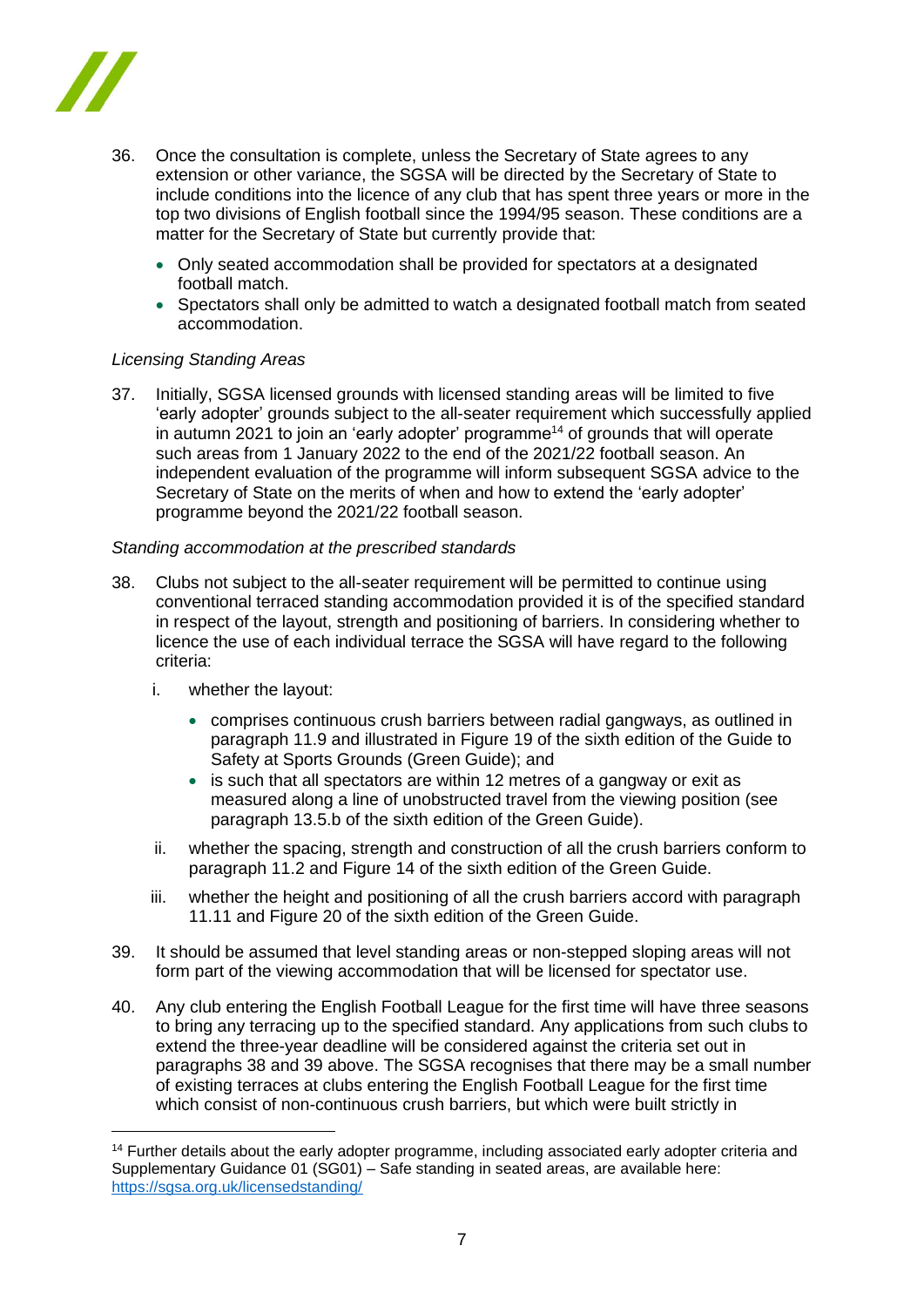

- 36. Once the consultation is complete, unless the Secretary of State agrees to any extension or other variance, the SGSA will be directed by the Secretary of State to include conditions into the licence of any club that has spent three years or more in the top two divisions of English football since the 1994/95 season. These conditions are a matter for the Secretary of State but currently provide that:
	- Only seated accommodation shall be provided for spectators at a designated football match.
	- Spectators shall only be admitted to watch a designated football match from seated accommodation.

### *Licensing Standing Areas*

37. Initially, SGSA licensed grounds with licensed standing areas will be limited to five 'early adopter' grounds subject to the all-seater requirement which successfully applied in autumn 2021 to join an 'early adopter' programme<sup>14</sup> of grounds that will operate such areas from 1 January 2022 to the end of the 2021/22 football season. An independent evaluation of the programme will inform subsequent SGSA advice to the Secretary of State on the merits of when and how to extend the 'early adopter' programme beyond the 2021/22 football season.

### *Standing accommodation at the prescribed standards*

- 38. Clubs not subject to the all-seater requirement will be permitted to continue using conventional terraced standing accommodation provided it is of the specified standard in respect of the layout, strength and positioning of barriers. In considering whether to licence the use of each individual terrace the SGSA will have regard to the following criteria:
	- i. whether the layout:
		- comprises continuous crush barriers between radial gangways, as outlined in paragraph 11.9 and illustrated in Figure 19 of the sixth edition of the Guide to Safety at Sports Grounds (Green Guide); and
		- is such that all spectators are within 12 metres of a gangway or exit as measured along a line of unobstructed travel from the viewing position (see paragraph 13.5.b of the sixth edition of the Green Guide).
	- ii. whether the spacing, strength and construction of all the crush barriers conform to paragraph 11.2 and Figure 14 of the sixth edition of the Green Guide.
	- iii. whether the height and positioning of all the crush barriers accord with paragraph 11.11 and Figure 20 of the sixth edition of the Green Guide.
- 39. It should be assumed that level standing areas or non-stepped sloping areas will not form part of the viewing accommodation that will be licensed for spectator use.
- 40. Any club entering the English Football League for the first time will have three seasons to bring any terracing up to the specified standard. Any applications from such clubs to extend the three-year deadline will be considered against the criteria set out in paragraphs 38 and 39 above. The SGSA recognises that there may be a small number of existing terraces at clubs entering the English Football League for the first time which consist of non*-*continuous crush barriers, but which were built strictly in

<sup>&</sup>lt;sup>14</sup> Further details about the early adopter programme, including associated early adopter criteria and Supplementary Guidance 01 (SG01) – Safe standing in seated areas, are available here: <https://sgsa.org.uk/licensedstanding/>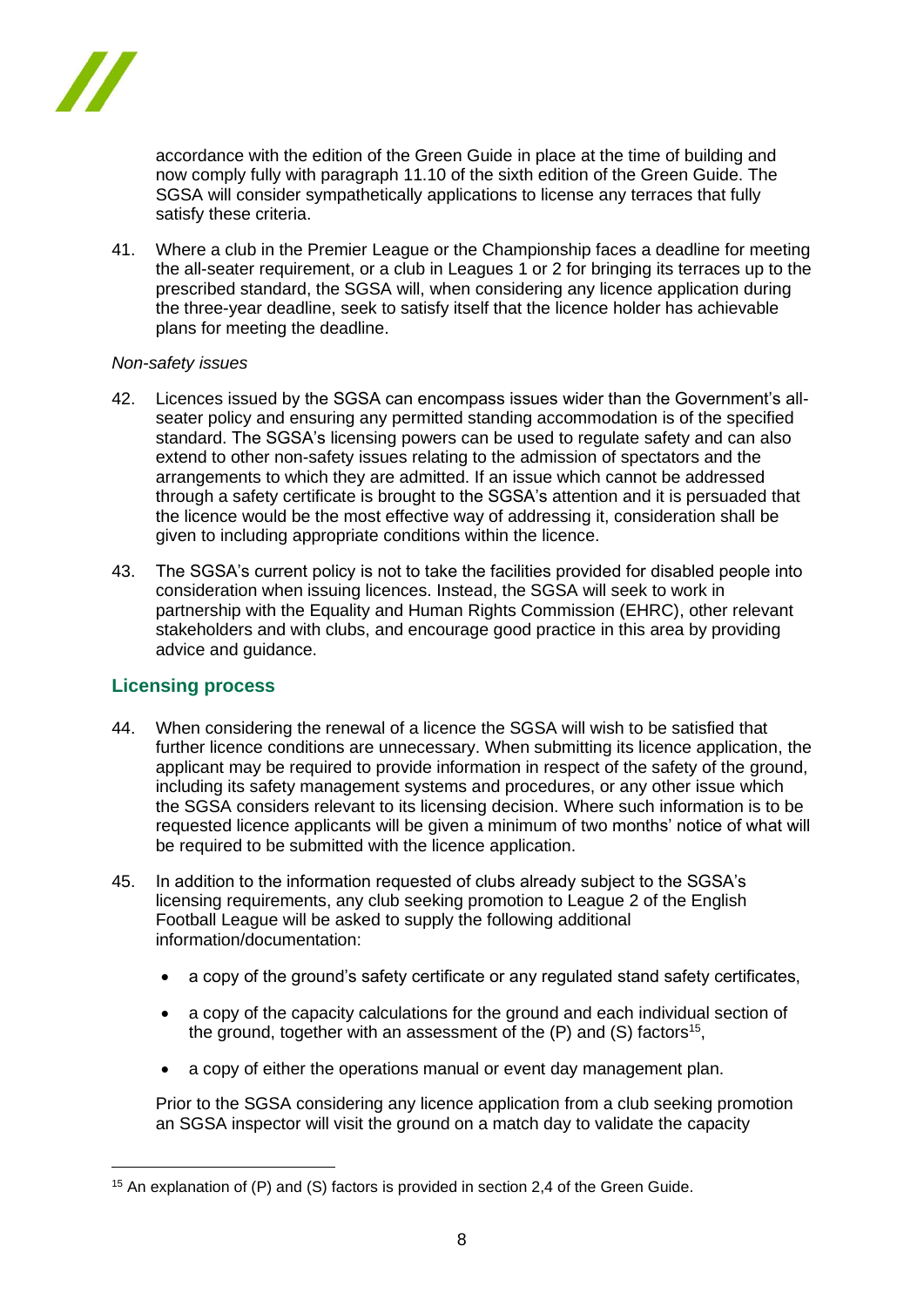

accordance with the edition of the Green Guide in place at the time of building and now comply fully with paragraph 11.10 of the sixth edition of the Green Guide. The SGSA will consider sympathetically applications to license any terraces that fully satisfy these criteria.

41. Where a club in the Premier League or the Championship faces a deadline for meeting the all-seater requirement, or a club in Leagues 1 or 2 for bringing its terraces up to the prescribed standard, the SGSA will, when considering any licence application during the three-year deadline, seek to satisfy itself that the licence holder has achievable plans for meeting the deadline.

### *Non-safety issues*

- 42. Licences issued by the SGSA can encompass issues wider than the Government's allseater policy and ensuring any permitted standing accommodation is of the specified standard. The SGSA's licensing powers can be used to regulate safety and can also extend to other non-safety issues relating to the admission of spectators and the arrangements to which they are admitted. If an issue which cannot be addressed through a safety certificate is brought to the SGSA's attention and it is persuaded that the licence would be the most effective way of addressing it, consideration shall be given to including appropriate conditions within the licence.
- 43. The SGSA's current policy is not to take the facilities provided for disabled people into consideration when issuing licences. Instead, the SGSA will seek to work in partnership with the Equality and Human Rights Commission (EHRC), other relevant stakeholders and with clubs, and encourage good practice in this area by providing advice and guidance.

### **Licensing process**

- 44. When considering the renewal of a licence the SGSA will wish to be satisfied that further licence conditions are unnecessary. When submitting its licence application, the applicant may be required to provide information in respect of the safety of the ground, including its safety management systems and procedures, or any other issue which the SGSA considers relevant to its licensing decision. Where such information is to be requested licence applicants will be given a minimum of two months' notice of what will be required to be submitted with the licence application.
- 45. In addition to the information requested of clubs already subject to the SGSA's licensing requirements, any club seeking promotion to League 2 of the English Football League will be asked to supply the following additional information/documentation:
	- a copy of the ground's safety certificate or any regulated stand safety certificates,
	- a copy of the capacity calculations for the ground and each individual section of the ground, together with an assessment of the (P) and (S) factors<sup>15</sup>,
	- a copy of either the operations manual or event day management plan.

Prior to the SGSA considering any licence application from a club seeking promotion an SGSA inspector will visit the ground on a match day to validate the capacity

<sup>15</sup> An explanation of (P) and (S) factors is provided in section 2,4 of the Green Guide.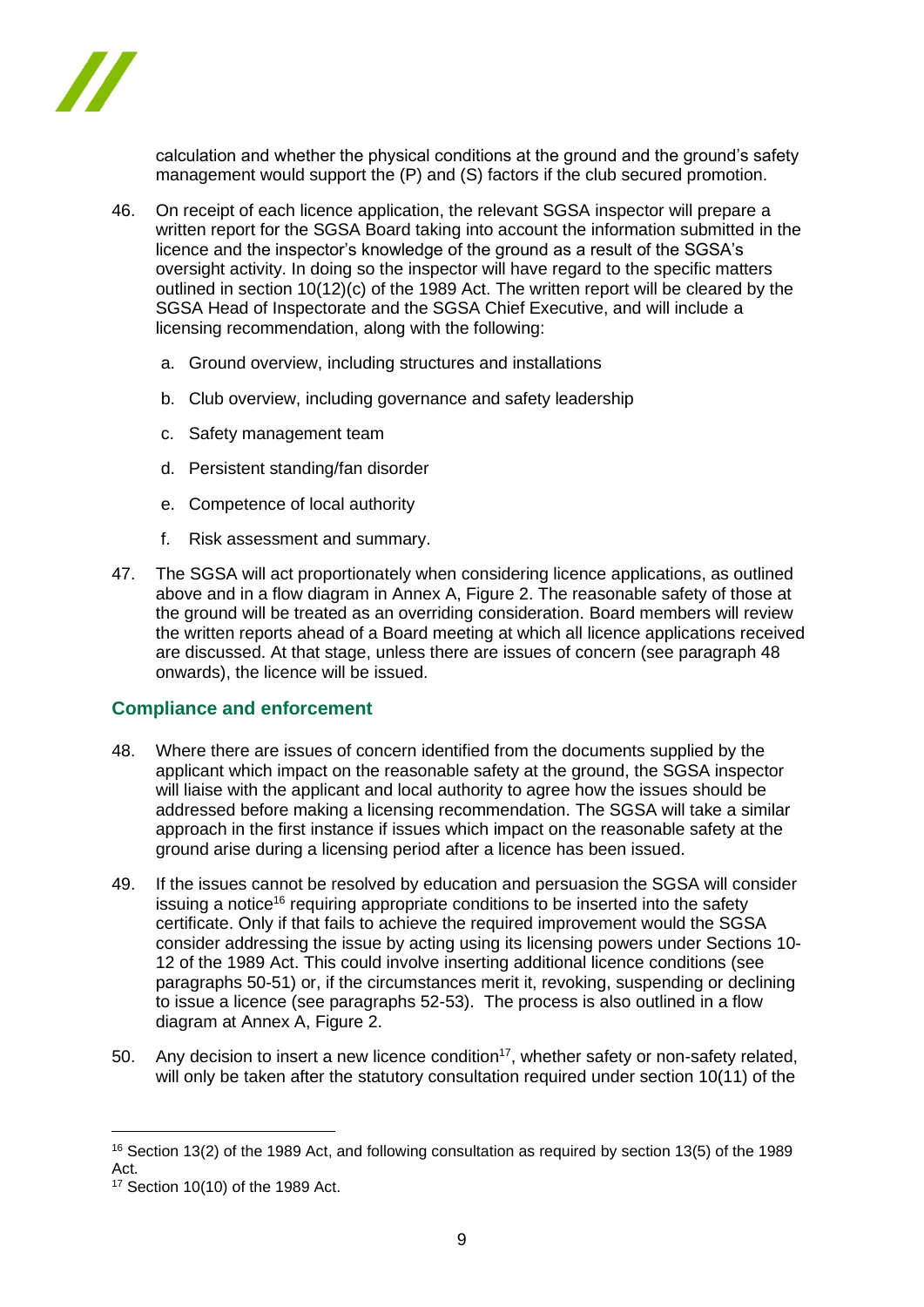

calculation and whether the physical conditions at the ground and the ground's safety management would support the (P) and (S) factors if the club secured promotion.

- 46. On receipt of each licence application, the relevant SGSA inspector will prepare a written report for the SGSA Board taking into account the information submitted in the licence and the inspector's knowledge of the ground as a result of the SGSA's oversight activity. In doing so the inspector will have regard to the specific matters outlined in section  $10(12)(c)$  of the 1989 Act. The written report will be cleared by the SGSA Head of Inspectorate and the SGSA Chief Executive, and will include a licensing recommendation, along with the following:
	- a. Ground overview, including structures and installations
	- b. Club overview, including governance and safety leadership
	- c. Safety management team
	- d. Persistent standing/fan disorder
	- e. Competence of local authority
	- f. Risk assessment and summary.
- 47. The SGSA will act proportionately when considering licence applications, as outlined above and in a flow diagram in Annex A, Figure 2. The reasonable safety of those at the ground will be treated as an overriding consideration. Board members will review the written reports ahead of a Board meeting at which all licence applications received are discussed. At that stage, unless there are issues of concern (see paragraph 48 onwards), the licence will be issued.

### **Compliance and enforcement**

- 48. Where there are issues of concern identified from the documents supplied by the applicant which impact on the reasonable safety at the ground, the SGSA inspector will liaise with the applicant and local authority to agree how the issues should be addressed before making a licensing recommendation. The SGSA will take a similar approach in the first instance if issues which impact on the reasonable safety at the ground arise during a licensing period after a licence has been issued.
- 49. If the issues cannot be resolved by education and persuasion the SGSA will consider issuing a notice<sup>16</sup> requiring appropriate conditions to be inserted into the safety certificate. Only if that fails to achieve the required improvement would the SGSA consider addressing the issue by acting using its licensing powers under Sections 10- 12 of the 1989 Act. This could involve inserting additional licence conditions (see paragraphs 50-51) or, if the circumstances merit it, revoking, suspending or declining to issue a licence (see paragraphs 52-53). The process is also outlined in a flow diagram at Annex A, Figure 2.
- 50. Any decision to insert a new licence condition<sup>17</sup>, whether safety or non-safety related, will only be taken after the statutory consultation required under section 10(11) of the

<sup>16</sup> Section 13(2) of the 1989 Act, and following consultation as required by section 13(5) of the 1989 Act.

<sup>17</sup> Section 10(10) of the 1989 Act.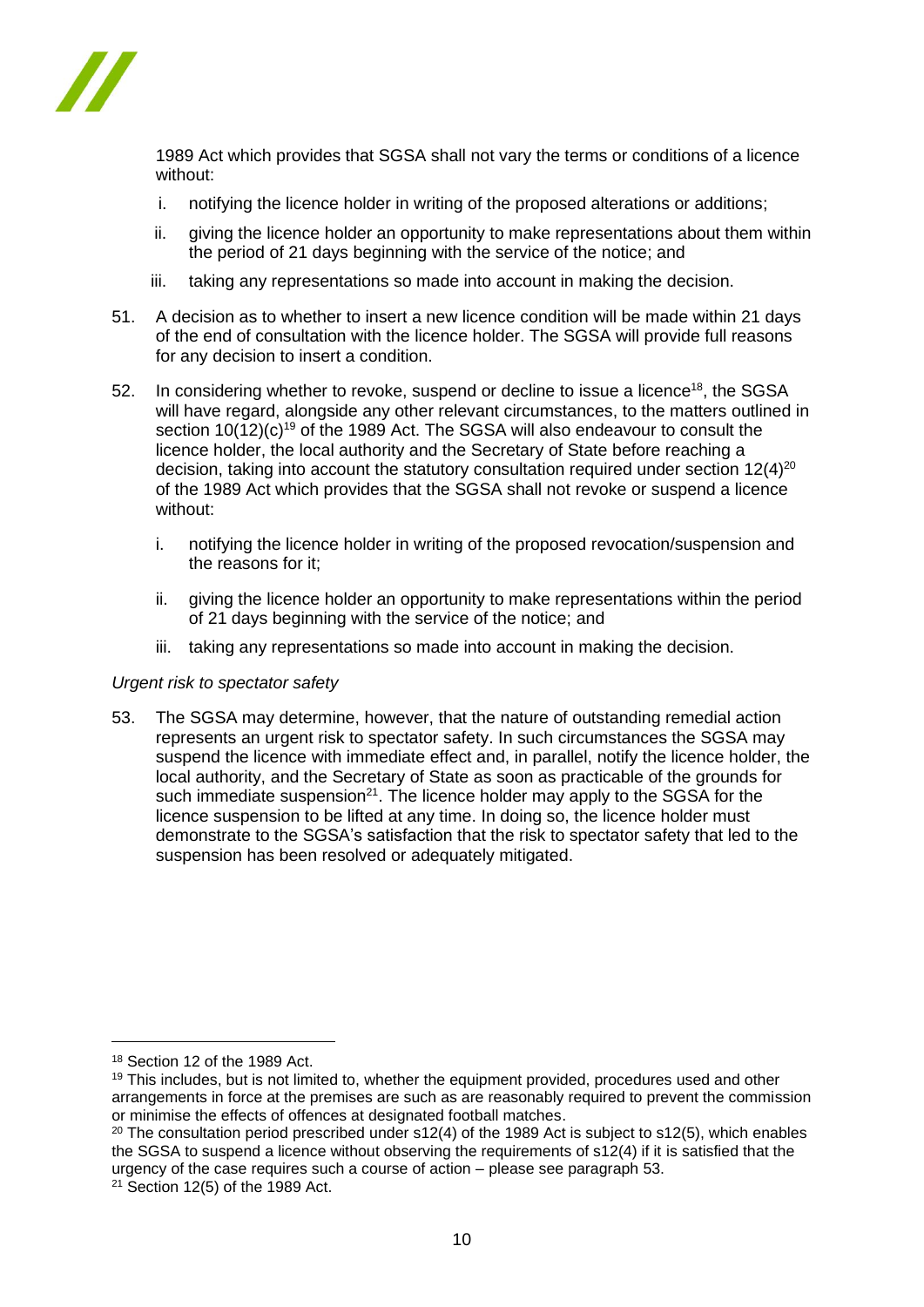

1989 Act which provides that SGSA shall not vary the terms or conditions of a licence without:

- i. notifying the licence holder in writing of the proposed alterations or additions;
- ii. giving the licence holder an opportunity to make representations about them within the period of 21 days beginning with the service of the notice; and
- iii. taking any representations so made into account in making the decision.
- 51. A decision as to whether to insert a new licence condition will be made within 21 days of the end of consultation with the licence holder. The SGSA will provide full reasons for any decision to insert a condition.
- 52. In considering whether to revoke, suspend or decline to issue a licence<sup>18</sup>, the SGSA will have regard, alongside any other relevant circumstances, to the matters outlined in section  $10(12)(c)<sup>19</sup>$  of the 1989 Act. The SGSA will also endeavour to consult the licence holder, the local authority and the Secretary of State before reaching a decision, taking into account the statutory consultation required under section  $12(4)^{20}$ of the 1989 Act which provides that the SGSA shall not revoke or suspend a licence without:
	- i. notifying the licence holder in writing of the proposed revocation/suspension and the reasons for it;
	- ii. giving the licence holder an opportunity to make representations within the period of 21 days beginning with the service of the notice; and
	- iii. taking any representations so made into account in making the decision.

### *Urgent risk to spectator safety*

53. The SGSA may determine, however, that the nature of outstanding remedial action represents an urgent risk to spectator safety. In such circumstances the SGSA may suspend the licence with immediate effect and, in parallel, notify the licence holder, the local authority, and the Secretary of State as soon as practicable of the grounds for such immediate suspension<sup>21</sup>. The licence holder may apply to the SGSA for the licence suspension to be lifted at any time. In doing so, the licence holder must demonstrate to the SGSA's satisfaction that the risk to spectator safety that led to the suspension has been resolved or adequately mitigated.

<sup>18</sup> Section 12 of the 1989 Act.

<sup>&</sup>lt;sup>19</sup> This includes, but is not limited to, whether the equipment provided, procedures used and other arrangements in force at the premises are such as are reasonably required to prevent the commission or minimise the effects of offences at designated football matches.

<sup>&</sup>lt;sup>20</sup> The consultation period prescribed under s12(4) of the 1989 Act is subject to s12(5), which enables the SGSA to suspend a licence without observing the requirements of s12(4) if it is satisfied that the urgency of the case requires such a course of action – please see paragraph 53.

 $21$  Section 12(5) of the 1989 Act.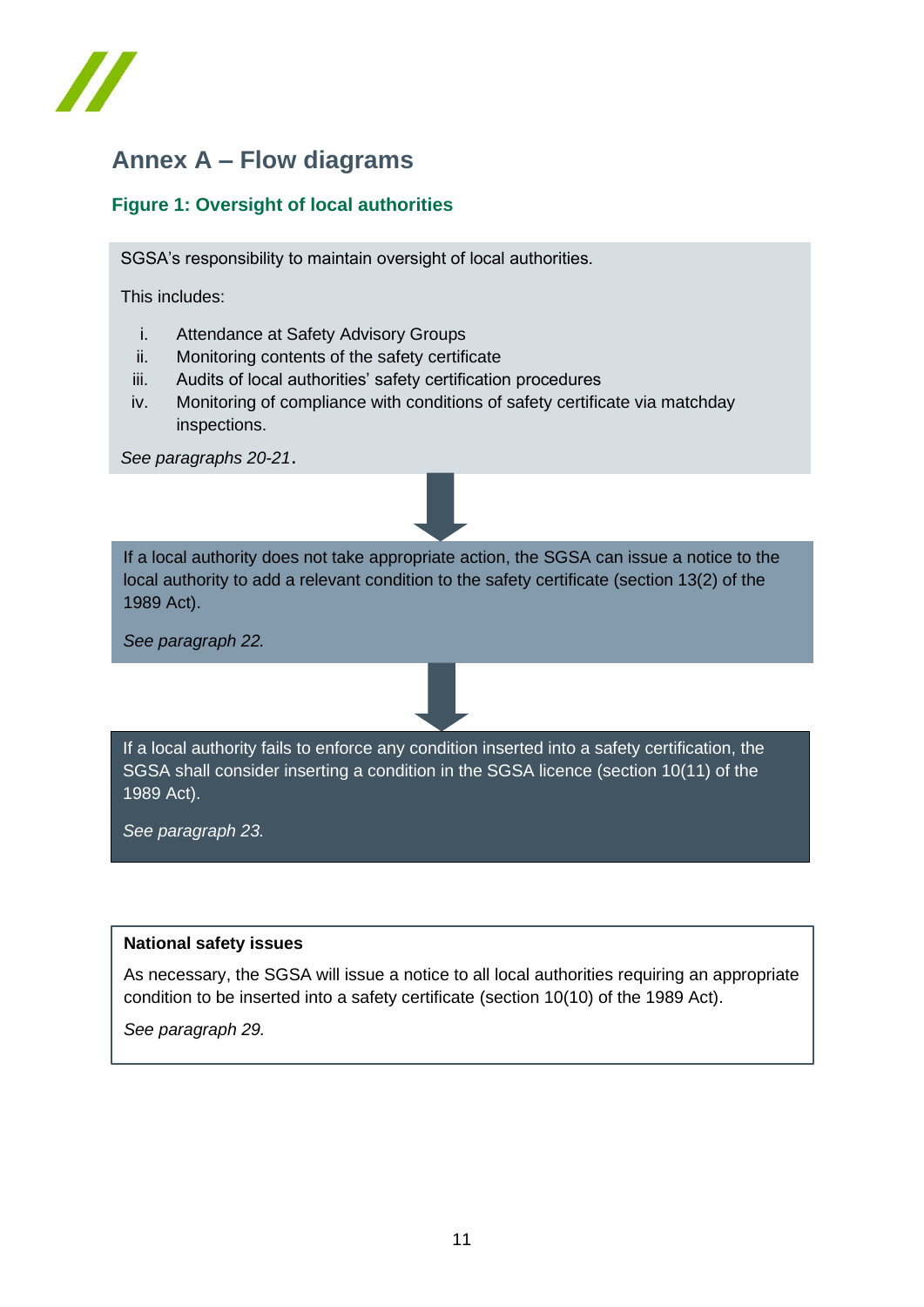

# **Annex A – Flow diagrams**

# **Figure 1: Oversight of local authorities**

SGSA's responsibility to maintain oversight of local authorities.

This includes:

- i. Attendance at Safety Advisory Groups
- ii. Monitoring contents of the safety certificate
- iii. Audits of local authorities' safety certification procedures
- iv. Monitoring of compliance with conditions of safety certificate via matchday inspections.

*See paragraphs 20-21*.



*See paragraph 22.*

If a local authority fails to enforce any condition inserted into a safety certification, the SGSA shall consider inserting a condition in the SGSA licence (section 10(11) of the 1989 Act).

*See paragraph 23.*

### **National safety issues**

As necessary, the SGSA will issue a notice to all local authorities requiring an appropriate condition to be inserted into a safety certificate (section 10(10) of the 1989 Act).

*See paragraph 29.*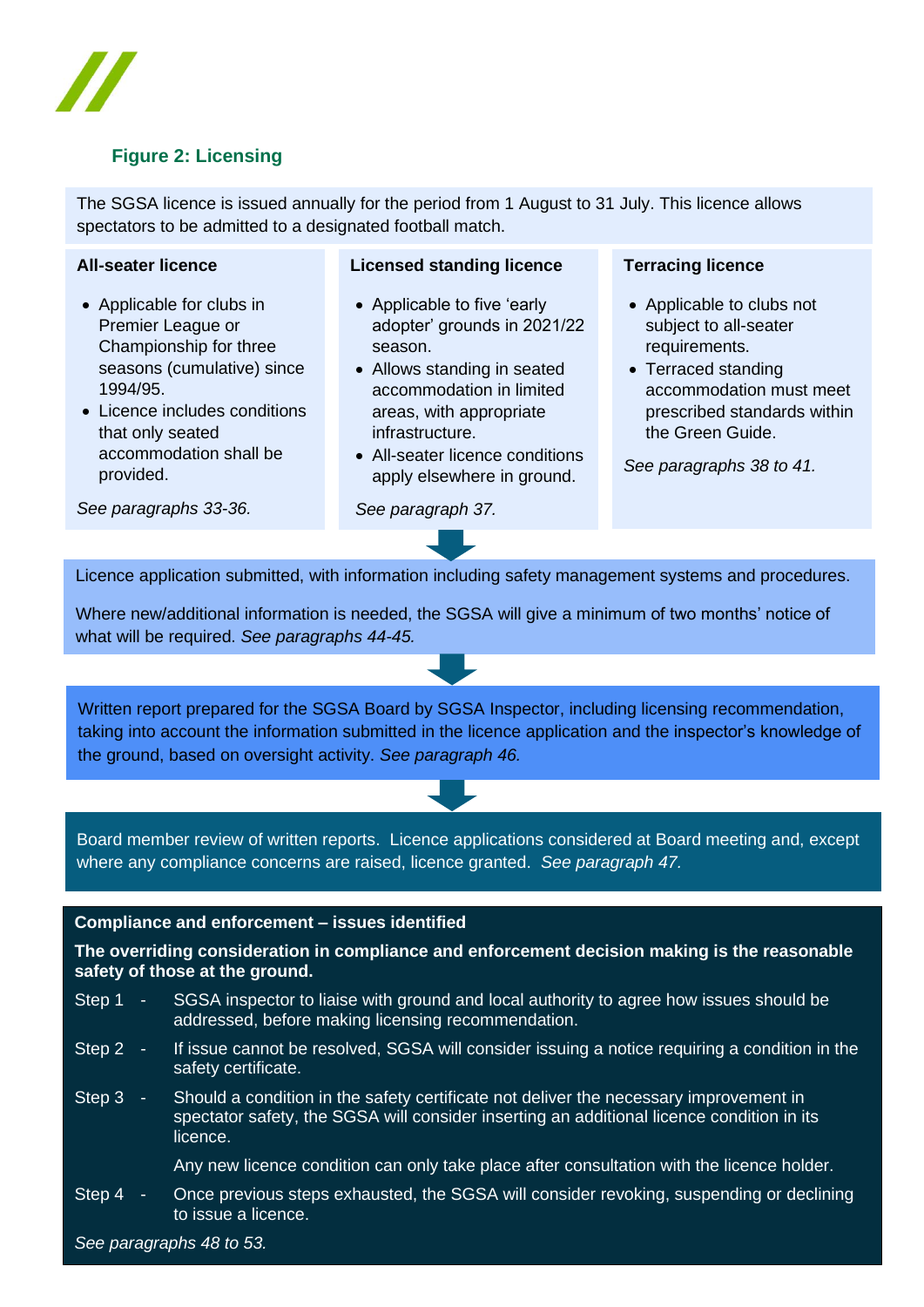

# **Figure 2: Licensing**

The SGSA licence is issued annually for the period from 1 August to 31 July. This licence allows spectators to be admitted to a designated football match.

### **All-seater licence**

- Applicable for clubs in Premier League or Championship for three seasons (cumulative) since 1994/95.
- Licence includes conditions that only seated accommodation shall be provided.

### **Licensed standing licence**

- Applicable to five 'early adopter' grounds in 2021/22 season.
- Allows standing in seated accommodation in limited areas, with appropriate infrastructure.
- All-seater licence conditions apply elsewhere in ground.

#### **Terracing licence**

- Applicable to clubs not subject to all-seater requirements.
- Terraced standing accommodation must meet prescribed standards within the Green Guide.

*See paragraphs 38 to 41.*

*See paragraphs 33-36.*

Licence application submitted, with information including safety management systems and procedures.

*See paragraph 37.*

Where new/additional information is needed, the SGSA will give a minimum of two months' notice of what will be required. *See paragraphs 44-45.*

Written report prepared for the SGSA Board by SGSA Inspector, including licensing recommendation, taking into account the information submitted in the licence application and the inspector's knowledge of the ground, based on oversight activity. *See paragraph 46.*

Board member review of written reports. Licence applications considered at Board meeting and, except where any compliance concerns are raised, licence granted. *See paragraph 47.*

#### **Compliance and enforcement – issues identified**

**The overriding consideration in compliance and enforcement decision making is the reasonable safety of those at the ground.**

- Step 1 SGSA inspector to liaise with ground and local authority to agree how issues should be addressed, before making licensing recommendation.
- Step 2 If issue cannot be resolved, SGSA will consider issuing a notice requiring a condition in the safety certificate.
- Step 3 Should a condition in the safety certificate not deliver the necessary improvement in spectator safety, the SGSA will consider inserting an additional licence condition in its licence.

Any new licence condition can only take place after consultation with the licence holder.

Step 4 - Once previous steps exhausted, the SGSA will consider revoking, suspending or declining to issue a licence.

*See paragraphs 48 to 53.*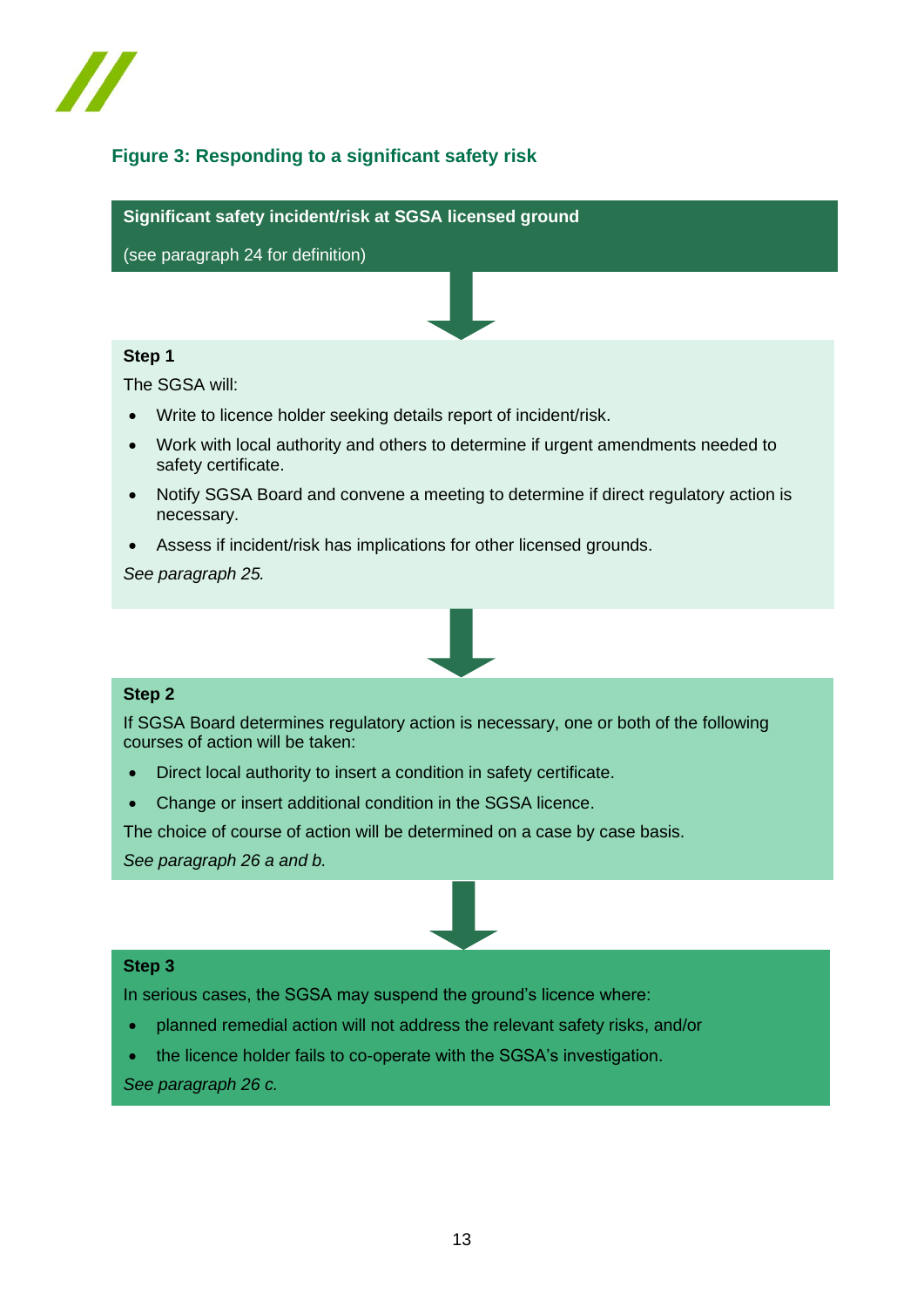

# **Figure 3: Responding to a significant safety risk**

**Significant safety incident/risk at SGSA licensed ground**

(see paragraph 24 for definition)

### **Step 1**

The SGSA will:

- Write to licence holder seeking details report of incident/risk.
- Work with local authority and others to determine if urgent amendments needed to safety certificate.
- Notify SGSA Board and convene a meeting to determine if direct regulatory action is necessary.
- Assess if incident/risk has implications for other licensed grounds.

*See paragraph 25.*



### **Step 2**

If SGSA Board determines regulatory action is necessary, one or both of the following courses of action will be taken:

- Direct local authority to insert a condition in safety certificate.
- Change or insert additional condition in the SGSA licence.

The choice of course of action will be determined on a case by case basis.

*See paragraph 26 a and b.*

### **Step 3**

In serious cases, the SGSA may suspend the ground's licence where:

- planned remedial action will not address the relevant safety risks, and/or
- the licence holder fails to co-operate with the SGSA's investigation.

*See paragraph 26 c.*